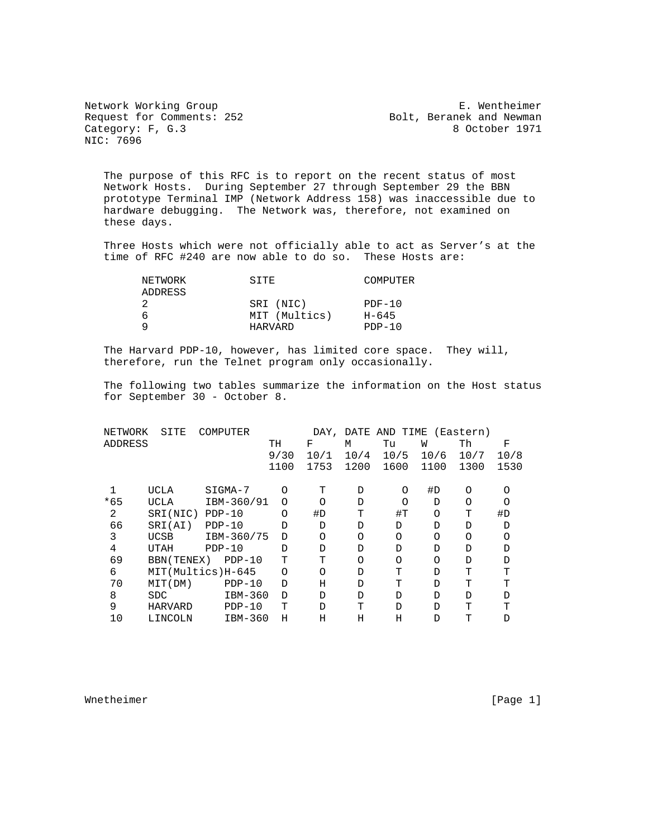Request for Comments: 252 Bolt, Beranek and Newman Category: F, G.3 8 October 1971 Category: F, G.3 NIC: 7696

Network Working Group<br>Request for Comments: 252 Bolt, Beranek and Newman

 The purpose of this RFC is to report on the recent status of most Network Hosts. During September 27 through September 29 the BBN prototype Terminal IMP (Network Address 158) was inaccessible due to hardware debugging. The Network was, therefore, not examined on these days.

 Three Hosts which were not officially able to act as Server's at the time of RFC #240 are now able to do so. These Hosts are:

| NETWORK | SITE          | COMPUTER  |
|---------|---------------|-----------|
| ADDRESS |               |           |
|         | SRI (NIC)     | $PDF-10$  |
| n       | MIT (Multics) | $H - 645$ |
|         | HARVARD       | $PDF-10$  |

 The Harvard PDP-10, however, has limited core space. They will, therefore, run the Telnet program only occasionally.

 The following two tables summarize the information on the Host status for September 30 - October 8.

| NETWORK | SITE        | COMPUTER          |          | DAY,     | DATE     | AND TIME |          | (Eastern) |          |
|---------|-------------|-------------------|----------|----------|----------|----------|----------|-----------|----------|
| ADDRESS |             |                   | TН       | F        | М        | Tu       | W        | Th        | F        |
|         |             |                   | 9/30     | 10/1     | 10/4     | 10/5     | 10/6     | 10/7      | 10/8     |
|         |             |                   | 1100     | 1753     | 1200     | 1600     | 1100     | 1300      | 1530     |
|         | UCLA        | SIGMA-7           | O        | т        | D        | O        | #D       | $\Omega$  | O        |
|         |             |                   |          |          |          |          |          |           |          |
| $*65$   | UCLA        | IBM-360/91        | $\Omega$ | $\Omega$ | D        | $\Omega$ | D        | $\Omega$  | $\Omega$ |
| 2       | SRI(NIC)    | $PDP-10$          | O        | #D       | T        | #T       | O        | T         | #D       |
| 66      | SRI(AI)     | $PDP-10$          | D        | D        | D        | D        | D        | D         | D        |
| 3       | UCSB        | IBM-360/75        | D        | $\circ$  | $\Omega$ | $\Omega$ | O        | $\Omega$  | O        |
| 4       | UTAH        | $PDP-10$          | D        | D        | D        | D        | D        | D         | D        |
| 69      | BBN (TENEX) | $PDP-10$          | т        | T        | $\Omega$ | $\Omega$ | $\Omega$ | D         | D        |
| 6       |             | MIT(Multics)H-645 | O        | $\Omega$ | D        | Τ        | D        | Τ         | т        |
| 70      | MIT(DM)     | $PDP-10$          | D        | Η        | D        | т        | D        | т         | т        |
| 8       | SDC         | IBM-360           | D        | D        | D        | D        | D        | D         | D        |
| 9       | HARVARD     | $PDF-10$          | т        | D        | т        | D        | D        | т         | т        |
| 10      | LINCOLN     | IBM-360           | Η        | Η        | Η        | Η        | D        | т         | D        |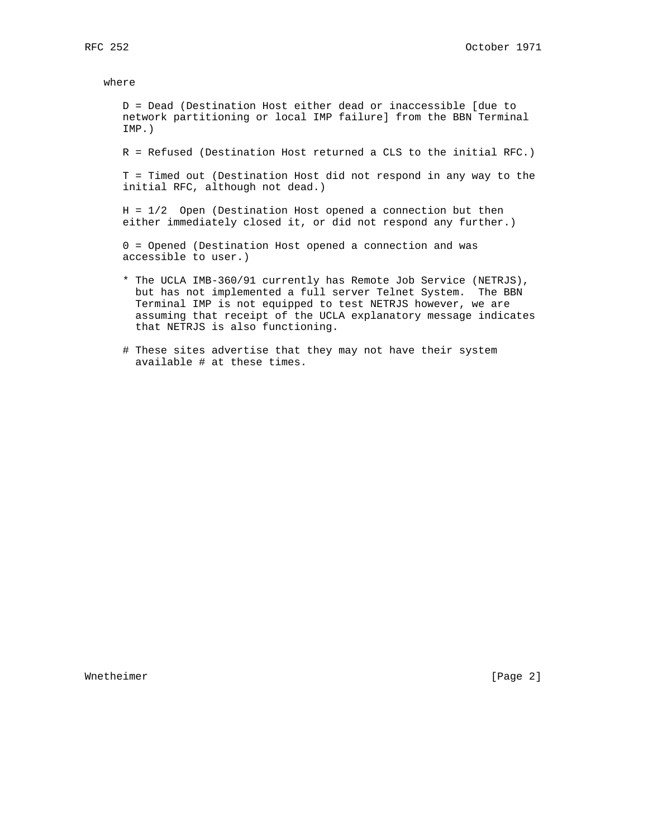where

 D = Dead (Destination Host either dead or inaccessible [due to network partitioning or local IMP failure] from the BBN Terminal IMP.)

R = Refused (Destination Host returned a CLS to the initial RFC.)

 T = Timed out (Destination Host did not respond in any way to the initial RFC, although not dead.)

 H = 1/2 Open (Destination Host opened a connection but then either immediately closed it, or did not respond any further.)

 0 = Opened (Destination Host opened a connection and was accessible to user.)

- \* The UCLA IMB-360/91 currently has Remote Job Service (NETRJS), but has not implemented a full server Telnet System. The BBN Terminal IMP is not equipped to test NETRJS however, we are assuming that receipt of the UCLA explanatory message indicates that NETRJS is also functioning.
- # These sites advertise that they may not have their system available # at these times.

Whetheimer [Page 2]